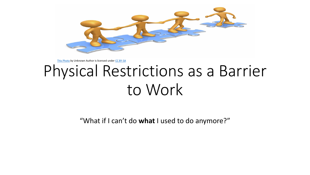

[This Photo](http://qsen-interdiciplinaryteams.wikispaces.com/) by Unknown Author is licensed under [CC BY-SA](https://creativecommons.org/licenses/by-sa/3.0/)

# Physical Restrictions as a Barrier to Work

"What if I can't do **what** I used to do anymore?"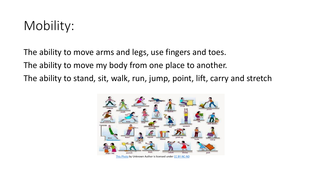# Mobility:

The ability to move arms and legs, use fingers and toes. The ability to move my body from one place to another. The ability to stand, sit, walk, run, jump, point, lift, carry and stretch

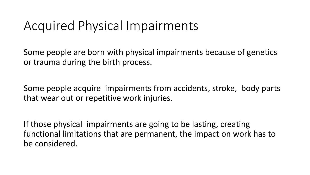# Acquired Physical Impairments

Some people are born with physical impairments because of genetics or trauma during the birth process.

Some people acquire impairments from accidents, stroke, body parts that wear out or repetitive work injuries.

If those physical impairments are going to be lasting, creating functional limitations that are permanent, the impact on work has to be considered.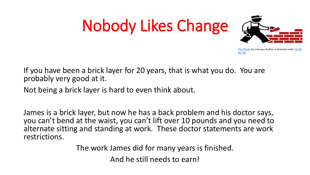# Nobody Likes Change



[This Photo](http://www.kaliblog.blogspot.com/) by Unknown [Author is licensed under CC BY-](https://creativecommons.org/licenses/by-nc-nd/2.5/)NC-ND

If you have been a brick layer for 20 years, that is what you do. You are probably very good at it.

Not being a brick layer is hard to even think about.

James is a brick layer, but now he has a back problem and his doctor says, you can't bend at the waist, you can't lift over 10 pounds and you need to alternate sitting and standing at work. These doctor statements are work restrictions.

The work James did for many years is finished.

And he still needs to earn!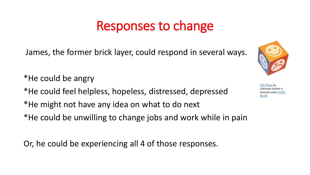# Responses to change

James, the former brick layer, could respond in several ways.

\*He could be angry \*He could feel helpless, hopeless, distressed, depressed \*He might not have any idea on what to do next \*He could be unwilling to change jobs and work while in pain

Or, he could be experiencing all 4 of those responses.



[This Photo](https://www.evolute.fr/relation-aide/gerer-emotions-relation-aide) by Unknown Author is [licensed under CC BY-](https://creativecommons.org/licenses/by-nc-sa/4.0/)NC-SA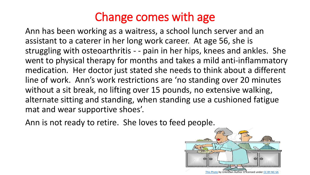# Change comes with age

Ann has been working as a waitress, a school lunch server and an assistant to a caterer in her long work career. At age 56, she is struggling with osteoarthritis - - pain in her hips, knees and ankles. She went to physical therapy for months and takes a mild anti-inflammatory medication. Her doctor just stated she needs to think about a different line of work. Ann's work restrictions are 'no standing over 20 minutes without a sit break, no lifting over 15 pounds, no extensive walking, alternate sitting and standing, when standing use a cushioned fatigue mat and wear supportive shoes'.

Ann is not ready to retire. She loves to feed people.

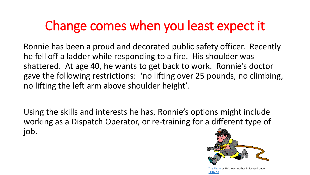# Change comes when you least expect it

Ronnie has been a proud and decorated public safety officer. Recently he fell off a ladder while responding to a fire. His shoulder was shattered. At age 40, he wants to get back to work. Ronnie's doctor gave the following restrictions: 'no lifting over 25 pounds, no climbing, no lifting the left arm above shoulder height'.

Using the skills and interests he has, Ronnie's options might include working as a Dispatch Operator, or re-training for a different type of job.



[This Photo](http://cnaumuarama.wikispaces.com/Pictures) by Unknown Author is licensed under [CC BY-SA](https://creativecommons.org/licenses/by-sa/3.0/)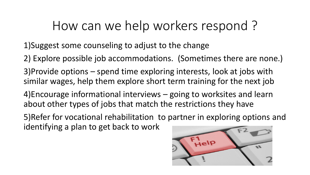# How can we help workers respond ?

1)Suggest some counseling to adjust to the change

- 2) Explore possible job accommodations. (Sometimes there are none.)
- 3)Provide options spend time exploring interests, look at jobs with similar wages, help them explore short term training for the next job
- 4)Encourage informational interviews going to worksites and learn about other types of jobs that match the restrictions they have
- 5)Refer for vocational rehabilitation to partner in exploring options and identifying a plan to get back to work

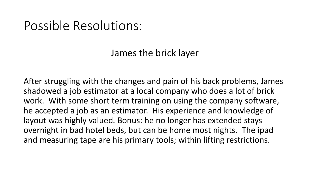### Possible Resolutions:

James the brick layer

After struggling with the changes and pain of his back problems, James shadowed a job estimator at a local company who does a lot of brick work. With some short term training on using the company software, he accepted a job as an estimator. His experience and knowledge of layout was highly valued. Bonus: he no longer has extended stays overnight in bad hotel beds, but can be home most nights. The ipad and measuring tape are his primary tools; within lifting restrictions.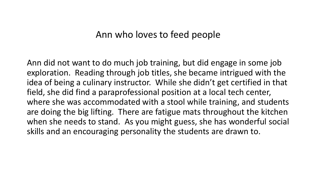#### Ann who loves to feed people

Ann did not want to do much job training, but did engage in some job exploration. Reading through job titles, she became intrigued with the idea of being a culinary instructor. While she didn't get certified in that field, she did find a paraprofessional position at a local tech center, where she was accommodated with a stool while training, and students are doing the big lifting. There are fatigue mats throughout the kitchen when she needs to stand. As you might guess, she has wonderful social skills and an encouraging personality the students are drawn to.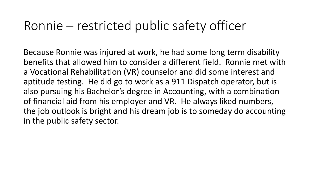# Ronnie – restricted public safety officer

Because Ronnie was injured at work, he had some long term disability benefits that allowed him to consider a different field. Ronnie met with a Vocational Rehabilitation (VR) counselor and did some interest and aptitude testing. He did go to work as a 911 Dispatch operator, but is also pursuing his Bachelor's degree in Accounting, with a combination of financial aid from his employer and VR. He always liked numbers, the job outlook is bright and his dream job is to someday do accounting in the public safety sector.